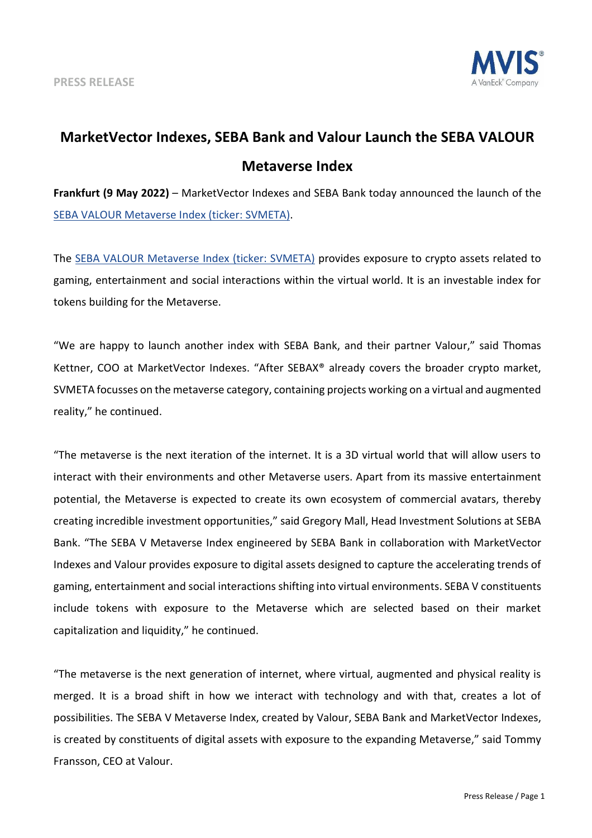

## **MarketVector Indexes, SEBA Bank and Valour Launch the SEBA VALOUR Metaverse Index**

**Frankfurt (9 May 2022)** – MarketVector Indexes and SEBA Bank today announced the launch of th[e](https://mvis-indices.com/indices/sector/BlueStar-Global-Robotics-3D-Printing?utm_source=mvis&utm_medium=pressrelease&utm_campaign=announcement) [SEBA VALOUR Metaverse Index \(ticker: SVMETA\).](https://www.mvis-indices.com/indices/customised/SEBA-VALOUR-Metaverse?utm_source=mvis&utm_medium=pressrelease&utm_campaign=announcement)

The [SEBA VALOUR Metaverse Index \(ticker: SVMETA\)](https://www.mvis-indices.com/indices/customised/SEBA-VALOUR-Metaverse?utm_source=mvis&utm_medium=pressrelease&utm_campaign=announcement) provides exposure to crypto assets related to gaming, entertainment and social interactions within the virtual world. It is an investable index for tokens building for the Metaverse.

"We are happy to launch another index with SEBA Bank, and their partner Valour," said Thomas Kettner, COO at MarketVector Indexes. "After SEBAX® already covers the broader crypto market, SVMETA focusses on the metaverse category, containing projects working on a virtual and augmented reality," he continued.

"The metaverse is the next iteration of the internet. It is a 3D virtual world that will allow users to interact with their environments and other Metaverse users. Apart from its massive entertainment potential, the Metaverse is expected to create its own ecosystem of commercial avatars, thereby creating incredible investment opportunities," said Gregory Mall, Head Investment Solutions at SEBA Bank. "The SEBA V Metaverse Index engineered by SEBA Bank in collaboration with MarketVector Indexes and Valour provides exposure to digital assets designed to capture the accelerating trends of gaming, entertainment and social interactions shifting into virtual environments. SEBA V constituents include tokens with exposure to the Metaverse which are selected based on their market capitalization and liquidity," he continued.

"The metaverse is the next generation of internet, where virtual, augmented and physical reality is merged. It is a broad shift in how we interact with technology and with that, creates a lot of possibilities. The SEBA V Metaverse Index, created by Valour, SEBA Bank and MarketVector Indexes, is created by constituents of digital assets with exposure to the expanding Metaverse," said Tommy Fransson, CEO at Valour.